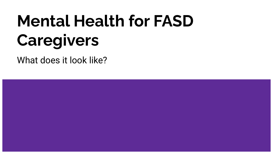# **Mental Health for FASD Caregivers**

What does it look like?

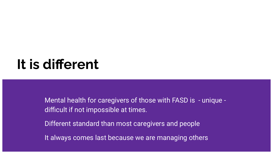# **It is different**

Mental health for caregivers of those with FASD is - unique difficult if not impossible at times.

Different standard than most caregivers and people

It always comes last because we are managing others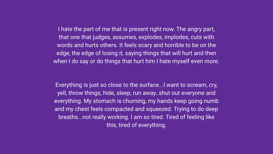I hate the part of me that is present right now. The angry part, that one that judges, assumes, explodes, implodes, cuts with words and hurts others. It feels scary and horrible to be on the edge, the edge of losing it, saying things that will hurt and then when I do say or do things that hurt him I hate myself even more.

Everything is just so close to the surface...I want to scream, cry, yell, throw things, hide, sleep, run away..shut out everyone and everything. My stomach is churning, my hands keep going numb and my chest feels compacted and squeezed. Trying to do deep breaths...not really working. I am so tired. Tired of feeling like this, tired of everything.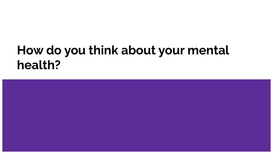# **How do you think about your mental health?**

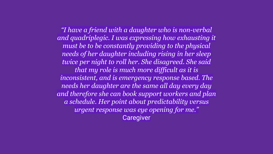*"I have a friend with a daughter who is non-verbal and quadriplegic. I was expressing how exhausting it must be to be constantly providing to the physical needs of her daughter including rising in her sleep twice per night to roll her. She disagreed. She said that my role is much more difficult as it is inconsistent, and is emergency response based. The needs her daughter are the same all day every day and therefore she can book support workers and plan a schedule. Her point about predictability versus urgent response was eye opening for me."* **Caregiver**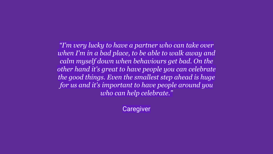*"I'm very lucky to have a partner who can take over when I'm in a bad place, to be able to walk away and calm myself down when behaviours get bad. On the other hand it's great to have people you can celebrate the good things. Even the smallest step ahead is huge for us and it's important to have people around you who can help celebrate."*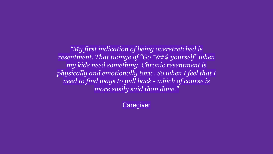*"My first indication of being overstretched is resentment. That twinge of "Go \*&#\$ yourself" when my kids need something. Chronic resentment is physically and emotionally toxic. So when I feel that I need to find ways to pull back - which of course is more easily said than done."*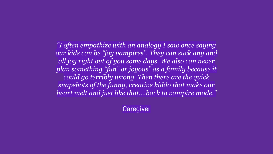*"I often empathize with an analogy I saw once saying our kids can be "joy vampires". They can suck any and all joy right out of you some days. We also can never plan something "fun" or joyous" as a family because it could go terribly wrong. Then there are the quick snapshots of the funny, creative kiddo that make our heart melt and just like that….back to vampire mode."*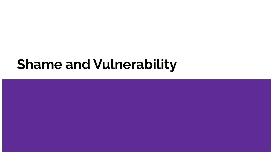# **Shame and Vulnerability**

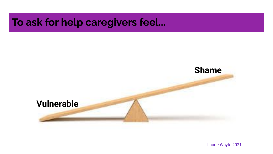### **To ask for help caregivers feel...**



Laurie Whyte 2021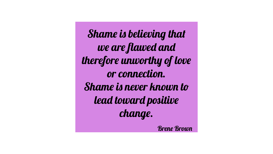Shame is believing that we are flawed and therefore unworthy of love or connection. Shame is never known to lead toward positive change.

Brene Brown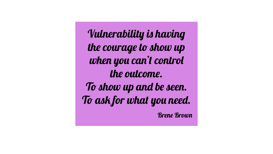Vulnerability is having the courage to show up when you can't control the outcome. To show up and be seen. To ask for what you need.

Brene Brown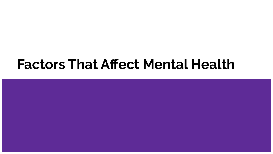# **Factors That Affect Mental Health**

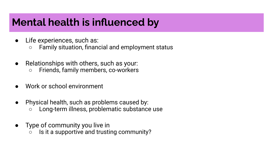# **Mental health is influenced by**

- Life experiences, such as:
	- Family situation, financial and employment status
- Relationships with others, such as your:
	- Friends, family members, co-workers
- Work or school environment
- Physical health, such as problems caused by:
	- Long-term illness, problematic substance use
- Type of community you live in
	- Is it a supportive and trusting community?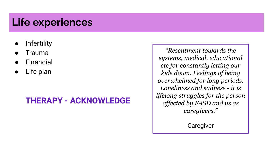# **Life experiences**

- **Infertility**
- **Trauma**
- **Financial**
- Life plan

#### **THERAPY - ACKNOWLEDGE**

*"Resentment towards the systems, medical, educational etc for constantly letting our kids down. Feelings of being overwhelmed for long periods. Loneliness and sadness - it is lifelong struggles for the person affected by FASD and us as caregivers."*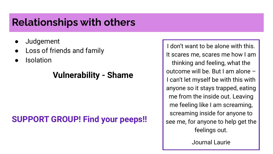### **Relationships with others**

- **Judgement**
- Loss of friends and family
- **Isolation**

#### **Vulnerability - Shame**

### **SUPPORT GROUP! Find your peeps!!**

I don't want to be alone with this. It scares me, scares me how I am thinking and feeling, what the outcome will be. But I am alone – I can't let myself be with this with anyone so it stays trapped, eating me from the inside out. Leaving me feeling like I am screaming, screaming inside for anyone to see me, for anyone to help get the feelings out.

Journal Laurie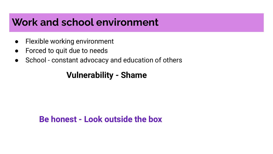### **Work and school environment**

- Flexible working environment
- Forced to quit due to needs
- School constant advocacy and education of others

#### **Vulnerability - Shame**

#### **Be honest - Look outside the box**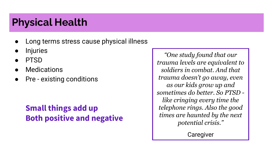# **Physical Health**

- Long terms stress cause physical illness
- **Injuries**
- **PTSD**
- **Medications**
- Pre existing conditions

#### **Small things add up Both positive and negative**

*"One study found that our trauma levels are equivalent to soldiers in combat. And that trauma doesn't go away, even as our kids grow up and sometimes do better. So PTSD like cringing every time the telephone rings. Also the good times are haunted by the next potential crisis."*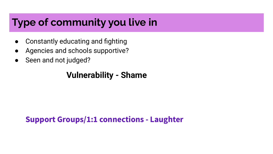# **Type of community you live in**

- Constantly educating and fighting
- Agencies and schools supportive?
- Seen and not judged?

#### **Vulnerability - Shame**

#### **Support Groups/1:1 connections - Laughter**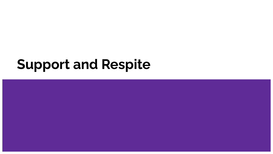# **Support and Respite**

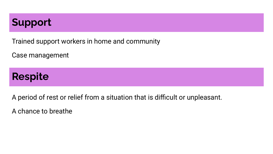# **Support**

Trained support workers in home and community

Case management

# **Respite**

A period of rest or relief from a situation that is difficult or unpleasant.

A chance to breathe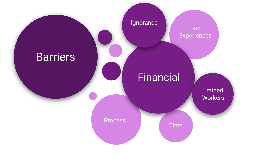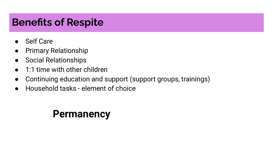# **Benefits of Respite**

- **Self Care**
- Primary Relationship
- Social Relationships
- 1:1 time with other children
- Continuing education and support (support groups, trainings)
- Household tasks element of choice

# **Permanency**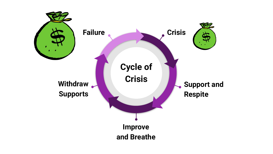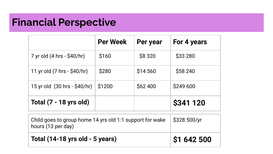# **Financial Perspective**

|                              | <b>Per Week</b> | Per year | For 4 years |
|------------------------------|-----------------|----------|-------------|
| 7 yr old (4 hrs - \$40/hr)   | \$160           | \$8 3 20 | \$33 280    |
| 11 yr old (7 hrs - \$40/hr)  | \$280           | \$14 560 | \$58 240    |
| 15 yr old (30 hrs - \$40/hr) | \$1200          | \$62 400 | \$249 600   |
| Total (7 - 18 yrs old)       |                 |          | \$341 120   |

| Child goes to group home 14 yrs old 1:1 support for wake $\frac{1}{2}$ \$328 500/yr<br>hours (13 per day) |                     |
|-----------------------------------------------------------------------------------------------------------|---------------------|
| Total (14-18 yrs old - 5 years)                                                                           | $\vert$ \$1 642 500 |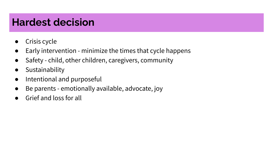# **Hardest decision**

- Crisis cycle
- Early intervention minimize the times that cycle happens
- Safety child, other children, caregivers, community
- Sustainability
- Intentional and purposeful
- Be parents emotionally available, advocate, joy
- Grief and loss for all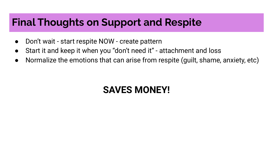## **Final Thoughts on Support and Respite**

- Don't wait start respite NOW create pattern
- Start it and keep it when you "don't need it" attachment and loss
- Normalize the emotions that can arise from respite (guilt, shame, anxiety, etc)

# **SAVES MONEY!**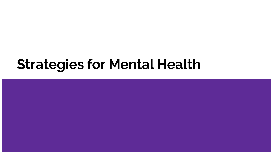# **Strategies for Mental Health**

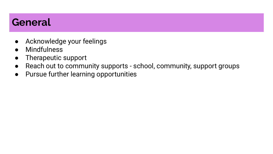### **General**

- Acknowledge your feelings
- **Mindfulness**
- Therapeutic support
- Reach out to community supports school, community, support groups
- Pursue further learning opportunities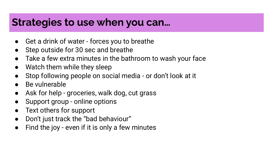### **Strategies to use when you can…**

- Get a drink of water forces you to breathe
- Step outside for 30 sec and breathe
- Take a few extra minutes in the bathroom to wash your face
- Watch them while they sleep
- Stop following people on social media or don't look at it
- Be vulnerable
- Ask for help groceries, walk dog, cut grass
- Support group online options
- Text others for support
- Don't just track the "bad behaviour"
- Find the joy even if it is only a few minutes